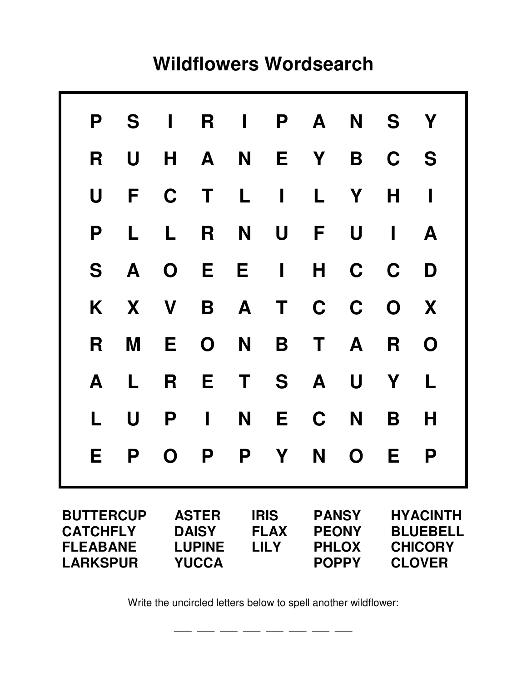## **Wildflowers Wordsearch**

|                                                                           | P S                                       | $\mathbf{I}$                                                  | R              | $\mathbf{I}$                              |                | P A                                                          |              | N S Y                                                                 |             |
|---------------------------------------------------------------------------|-------------------------------------------|---------------------------------------------------------------|----------------|-------------------------------------------|----------------|--------------------------------------------------------------|--------------|-----------------------------------------------------------------------|-------------|
| R                                                                         | $\begin{array}{c} \mathbf{U} \end{array}$ | H                                                             | $\overline{A}$ |                                           |                | N E Y                                                        | B            | C S                                                                   |             |
| $\mathbf U$                                                               | $\mathsf{F}$                              | $\mathbf C$                                                   | $\mathbf{T}$   | $\mathbf{L}$                              | $\blacksquare$ | $\mathsf{L}$                                                 | Y            | H                                                                     | ı           |
| P                                                                         | L                                         | $\mathsf{L}$                                                  | R              | N                                         | U              | F                                                            | U            | $\blacksquare$                                                        | A           |
| S                                                                         |                                           | A O                                                           | E E            |                                           | $\mathbf{I}$   |                                                              |              | H C C                                                                 | D           |
|                                                                           | K X V                                     |                                                               |                | B A                                       |                | T C C O                                                      |              |                                                                       | X           |
| R                                                                         | M                                         | E.                                                            | $\mathbf 0$    | N                                         | B              |                                                              | T A          | R                                                                     | $\mathbf O$ |
| A                                                                         | L                                         | R                                                             | E              |                                           |                | T S A                                                        | $\mathsf{U}$ | Y                                                                     | L           |
| L.                                                                        | U                                         | P                                                             | $\blacksquare$ | N                                         | E.             | $\mathbf C$                                                  | N            | B                                                                     | Н           |
| E.                                                                        | P                                         | $\mathbf O$                                                   | <b>P</b>       | <b>P</b>                                  | <b>Y</b>       | N <b>N</b>                                                   | $\mathbf{O}$ | E.                                                                    | P           |
| <b>BUTTERCUP</b><br><b>CATCHFLY</b><br><b>FLEABANE</b><br><b>LARKSPUR</b> |                                           | <b>ASTER</b><br><b>DAISY</b><br><b>LUPINE</b><br><b>YUCCA</b> |                | <b>IRIS</b><br><b>FLAX</b><br><b>LILY</b> |                | <b>PANSY</b><br><b>PEONY</b><br><b>PHLOX</b><br><b>POPPY</b> |              | <b>HYACINTH</b><br><b>BLUEBELL</b><br><b>CHICORY</b><br><b>CLOVER</b> |             |

Write the uncircled letters below to spell another wildflower:

 $\frac{1}{\sqrt{2}}$  , and the set of the set of the set of the set of the set of the set of the set of the set of the set of the set of the set of the set of the set of the set of the set of the set of the set of the set of the